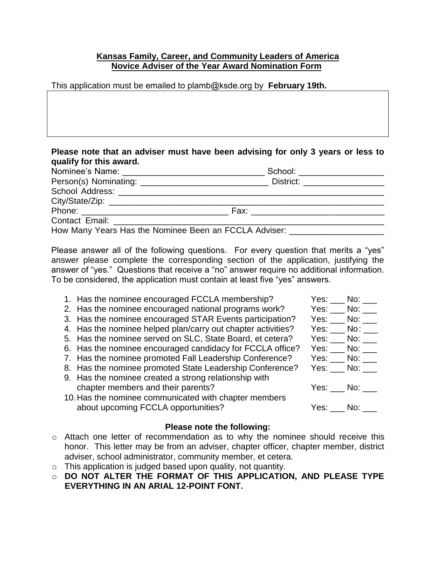## **Kansas Family, Career, and Community Leaders of America Novice Adviser of the Year Award Nomination Form**

This application must be emailed to plamb@ksde.org by **February 19th.**

| qualify for this award. |                                                                                  |
|-------------------------|----------------------------------------------------------------------------------|
|                         | School: _________________                                                        |
|                         |                                                                                  |
|                         |                                                                                  |
|                         |                                                                                  |
|                         |                                                                                  |
|                         |                                                                                  |
|                         | How Many Years Has the Nominee Been an FCCLA Adviser: __________________________ |

**Please note that an adviser must have been advising for only 3 years or less to** 

Please answer all of the following questions. For every question that merits a "yes" answer please complete the corresponding section of the application, justifying the answer of "yes." Questions that receive a "no" answer require no additional information. To be considered, the application must contain at least five "yes" answers.

| 1. Has the nominee encouraged FCCLA membership?              | Yes: $\_\_$ No: $\_\_$                               |
|--------------------------------------------------------------|------------------------------------------------------|
| 2. Has the nominee encouraged national programs work?        | Yes: $\_\_$ No: $\_\_$                               |
| 3. Has the nominee encouraged STAR Events participation?     | Yes: No:                                             |
| 4. Has the nominee helped plan/carry out chapter activities? | $Yes:$ No: $\_\_$                                    |
| 5. Has the nominee served on SLC, State Board, et cetera?    | $Yes:$ No: $\_\_$                                    |
| 6. Has the nominee encouraged candidacy for FCCLA office?    | $Yes:$ No: $\_\_$                                    |
| 7. Has the nominee promoted Fall Leadership Conference?      | Yes: $\rule{1em}{0.15mm}$ No: $\rule{1.5mm}{0.15mm}$ |
| 8. Has the nominee promoted State Leadership Conference?     | $Yes:$ No: $\_\_$                                    |
| 9. Has the nominee created a strong relationship with        |                                                      |
| chapter members and their parents?                           | Yes: No:                                             |
| 10. Has the nominee communicated with chapter members        |                                                      |
| about upcoming FCCLA opportunities?                          | Yes: No:                                             |
|                                                              |                                                      |
|                                                              |                                                      |

## **Please note the following:**

- o Attach one letter of recommendation as to why the nominee should receive this honor. This letter may be from an adviser, chapter officer, chapter member, district adviser, school administrator, community member, et cetera.
- o This application is judged based upon quality, not quantity.
- o **DO NOT ALTER THE FORMAT OF THIS APPLICATION, AND PLEASE TYPE EVERYTHING IN AN ARIAL 12-POINT FONT.**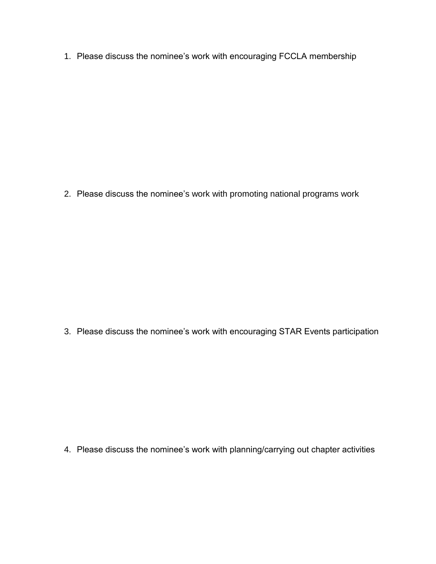1. Please discuss the nominee's work with encouraging FCCLA membership

2. Please discuss the nominee's work with promoting national programs work

3. Please discuss the nominee's work with encouraging STAR Events participation

4. Please discuss the nominee's work with planning/carrying out chapter activities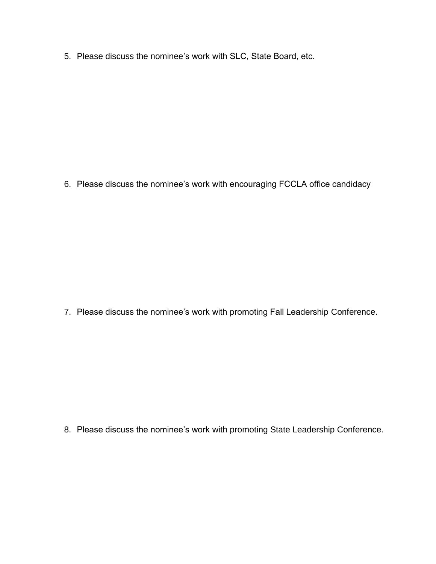5. Please discuss the nominee's work with SLC, State Board, etc.

6. Please discuss the nominee's work with encouraging FCCLA office candidacy

7. Please discuss the nominee's work with promoting Fall Leadership Conference.

8. Please discuss the nominee's work with promoting State Leadership Conference.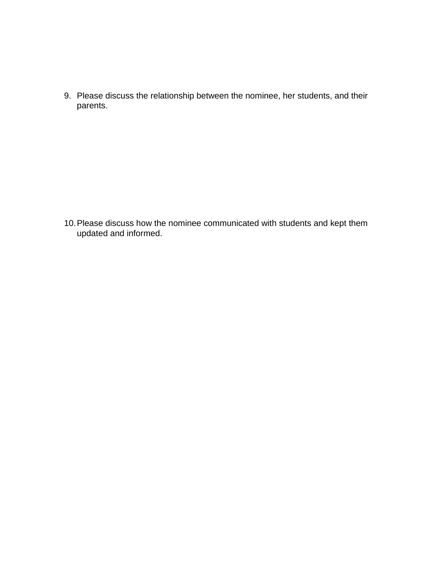9. Please discuss the relationship between the nominee, her students, and their parents.

10.Please discuss how the nominee communicated with students and kept them updated and informed.